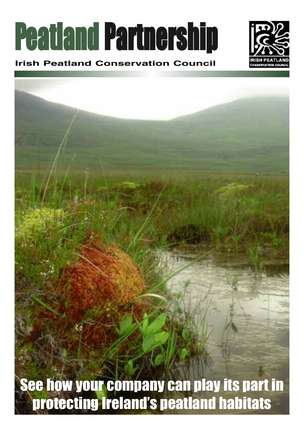# Peatland Partnership

## **Irish Peatland Conservation Council**



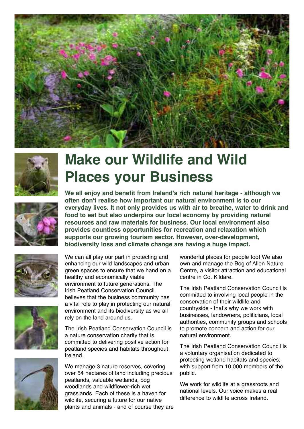



# **Make our Wildlife and Wild Places your Business**



**We all enjoy and benefit from Ireland's rich natural heritage - although we often don't realise how important our natural environment is to our everyday lives. It not only provides us with air to breathe, water to drink and food to eat but also underpins our local economy by providing natural resources and raw materials for business. Our local environment also provides countless opportunities for recreation and relaxation which supports our growing tourism sector. However, over-development, biodiversity loss and climate change are having a huge impact.**





We can all play our part in protecting and enhancing our wild landscapes and urban green spaces to ensure that we hand on a healthy and economically viable environment to future generations. The Irish Peatland Conservation Council believes that the business community has a vital role to play in protecting our natural environment and its biodiversity as we all rely on the land around us.

The Irish Peatland Conservation Council is a nature conservation charity that is committed to delivering positive action for peatland species and habitats throughout Ireland.

We manage 3 nature reserves, covering over 54 hectares of land including precious peatlands, valuable wetlands, bog woodlands and wildflower-rich wet grasslands. Each of these is a haven for wildlife, securing a future for our native plants and animals - and of course they are wonderful places for people too! We also own and manage the Bog of Allen Nature Centre, a visitor attraction and educational centre in Co. Kildare.

The Irish Peatland Conservation Council is committed to involving local people in the conservation of their wildlife and countryside - that's why we work with businesses, landowners, politicians, local authorities, community groups and schools to promote concern and action for our natural environment.

The Irish Peatland Conservation Council is a voluntary organisation dedicated to protecting wetland habitats and species, with support from 10,000 members of the public.

We work for wildlife at a grassroots and national levels. Our voice makes a real difference to wildlife across Ireland.

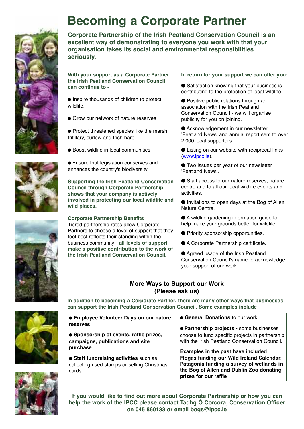

## **Becoming a Corporate Partner**

**Corporate Partnership of the Irish Peatland Conservation Council is an excellent way of demonstrating to everyone you work with that your organisation takes its social and environmental responsibilities seriously.**

**With your support as a Corporate Partner the Irish Peatland Conservation Council can continue to -**

● Inspire thousands of children to protect wildlife.

● Grow our network of nature reserves

● Protect threatened species like the marsh fritillary, curlew and Irish hare.

● Boost wildlife in local communities

● Ensure that legislation conserves and enhances the country's biodiversity.

**Supporting the Irish Peatland Conservation Council through Corporate Partnership shows that your company is actively involved in protecting our local wildlife and wild places.**

#### **Corporate Partnership Benefits**

Tiered partnership rates allow Corporate Partners to choose a level of support that they feel best reflects their standing within the business community - **all levels of support make a positive contribution to the work of the Irish Peatland Conservation Council.**

#### **In return for your support we can offer you:**

● Satisfaction knowing that your business is contributing to the protection of local wildlife.

● Positive public relations through an association with the Irish Peatland Conservation Council - we will organise publicity for you on joining.

● Acknowledgement in our newsletter 'Peatland News' and annual report sent to over 2,000 local supporters.

● Listing on our website with reciprocal links (www.ipcc.ie).

● Two issues per year of our newsletter 'Peatland News'.

● Staff access to our nature reserves, nature centre and to all our local wildlife events and activities.

● Invitations to open days at the Bog of Allen Nature Centre.

● A wildlife gardening information guide to help make your grounds better for wildlife.

- Priority sponsorship opportunities.
- A Corporate Partnership certificate.

● Agreed usage of the Irish Peatland Conservation Council's name to acknowledge your support of our work

#### **More Ways to Support our Work (Please ask us)**

**In addition to becoming a Corporate Partner, there are many other ways that businesses can support the Irish Peatland Conservation Council. Some examples include**

| • Employee Volunteer Days on our nature                                                        | • General Donations to our work                                                                                                                                                                   |
|------------------------------------------------------------------------------------------------|---------------------------------------------------------------------------------------------------------------------------------------------------------------------------------------------------|
| reserves                                                                                       | • Partnership projects - some businesses                                                                                                                                                          |
| • Sponsorship of events, raffle prizes,<br>campaigns, publications and site<br>purchase        | choose to fund specific projects in partnership<br>with the Irish Peatland Conservation Council.                                                                                                  |
| • Staff fundraising activities such as<br>collecting used stamps or selling Christmas<br>cards | Examples in the past have included<br>Flogas funding our Wild Ireland Calendar,<br>Patagonia funding a survey of wetlands in<br>the Bog of Allen and Dublin Zoo donating<br>prizes for our raffle |



**If you would like to find out more about Corporate Partnership or how you can help the work of the IPCC please contact Tadhg Ó Corcora, Conservation Officer on 045 860133 or email bogs@ipcc.ie**